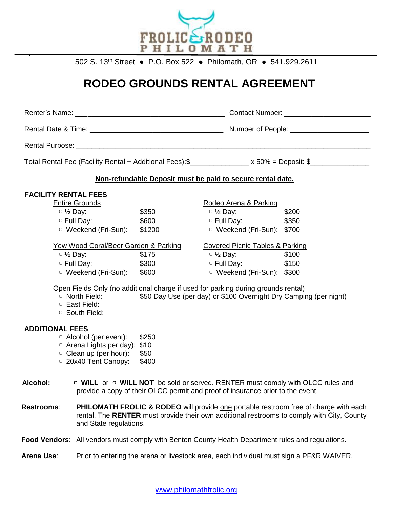

502 S. 13th Street ● P.O. Box 522 ● Philomath, OR ● 541.929.2611

## **RODEO GROUNDS RENTAL AGREEMENT**

| Total Rental Fee (Facility Rental + Additional Fees): \$________________ x 50% = Deposit: \$________________            |                                                                                                                                                        |                                            |       |  |
|-------------------------------------------------------------------------------------------------------------------------|--------------------------------------------------------------------------------------------------------------------------------------------------------|--------------------------------------------|-------|--|
| Non-refundable Deposit must be paid to secure rental date.                                                              |                                                                                                                                                        |                                            |       |  |
| <b>FACILITY RENTAL FEES</b>                                                                                             |                                                                                                                                                        |                                            |       |  |
| <b>Entire Grounds</b>                                                                                                   |                                                                                                                                                        | Rodeo Arena & Parking                      |       |  |
| $\circ$ 1/2 Day:                                                                                                        | \$350                                                                                                                                                  | $\circ$ $\frac{1}{2}$ Day:                 | \$200 |  |
| $\circ$ Full Day:                                                                                                       | \$600                                                                                                                                                  | $\circ$ Full Day: \$350                    |       |  |
| □ Weekend (Fri-Sun):                                                                                                    | \$1200                                                                                                                                                 | <sup>o</sup> Weekend (Fri-Sun): \$700      |       |  |
| <u>Yew Wood Coral/Beer Garden &amp; Parking</u>                                                                         |                                                                                                                                                        | <b>Covered Picnic Tables &amp; Parking</b> |       |  |
| $\circ$ 1/2 Day:                                                                                                        | \$175                                                                                                                                                  | $\circ$ 1/2 Day:                           | \$100 |  |
| □ Full Day:<br>\$300                                                                                                    |                                                                                                                                                        | $\circ$ Full Day: \$150                    |       |  |
| □ Weekend (Fri-Sun):                                                                                                    | \$600                                                                                                                                                  | □ Weekend (Fri-Sun): \$300                 |       |  |
| <sup>o</sup> North Field:<br><sup>o</sup> East Field:<br>□ South Field:                                                 | Open Fields Only (no additional charge if used for parking during grounds rental)<br>\$50 Day Use (per day) or \$100 Overnight Dry Camping (per night) |                                            |       |  |
| <b>ADDITIONAL FEES</b><br>$\circ$ Alcohol (per event):<br>$\circ$ Arena Lights per day): \$10<br>□ Clean up (per hour): | \$250<br>\$50                                                                                                                                          |                                            |       |  |

- ▢ 20x40 Tent Canopy: \$400
- **Alcohol: 
<b>□** WILL or □ WILL NOT be sold or served. RENTER must comply with OLCC rules and provide a copy of their OLCC permit and proof of insurance prior to the event.
- **Restrooms:** PHILOMATH FROLIC & RODEO will provide one portable restroom free of charge with each rental. The **RENTER** must provide their own additional restrooms to comply with City, County and State regulations.
- **Food Vendors**: All vendors must comply with Benton County Health Department rules and regulations.
- **Arena Use**: Prior to entering the arena or livestock area, each individual must sign a PF&R WAIVER.